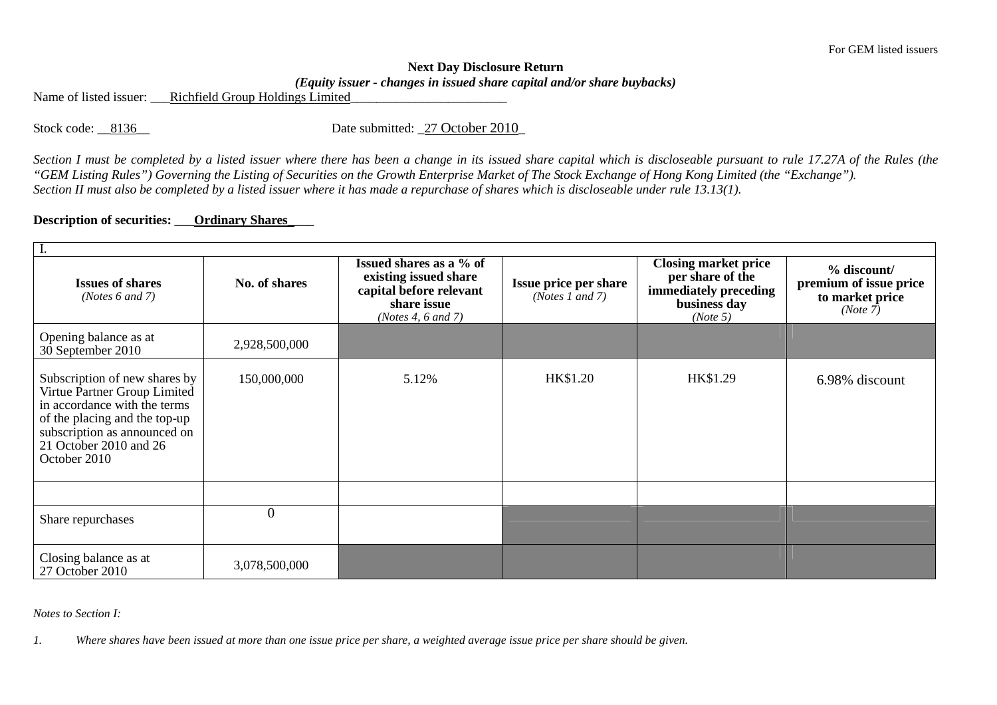## **Next Day Disclosure Return** *(Equity issuer - changes in issued share capital and/or share buybacks)*

Name of listed issuer: <br>Richfield Group Holdings Limited

Stock code: \_\_8136\_\_ Date submitted: \_27 October 2010\_

*Section I must be completed by a listed issuer where there has been a change in its issued share capital which is discloseable pursuant to rule 17.27A of the Rules (the "GEM Listing Rules") Governing the Listing of Securities on the Growth Enterprise Market of The Stock Exchange of Hong Kong Limited (the "Exchange"). Section II must also be completed by a listed issuer where it has made a repurchase of shares which is discloseable under rule 13.13(1).* 

## **Description of securities: \_\_\_Ordinary Shares\_\_\_\_**

| I.                                                                                                                                                                                                       |               |                                                                                                                  |                                                 |                                                                                                      |                                                                      |  |  |  |  |  |
|----------------------------------------------------------------------------------------------------------------------------------------------------------------------------------------------------------|---------------|------------------------------------------------------------------------------------------------------------------|-------------------------------------------------|------------------------------------------------------------------------------------------------------|----------------------------------------------------------------------|--|--|--|--|--|
| <b>Issues of shares</b><br>( <i>Notes</i> $6$ and $7$ )                                                                                                                                                  | No. of shares | Issued shares as a % of<br>existing issued share<br>capital before relevant<br>share issue<br>(Notes 4, 6 and 7) | <b>Issue price per share</b><br>(Notes 1 and 7) | <b>Closing market price</b><br>per share of the<br>immediately preceding<br>business day<br>(Note 5) | % discount/<br>premium of issue price<br>to market price<br>(Note 7) |  |  |  |  |  |
| Opening balance as at<br>30 September 2010                                                                                                                                                               | 2,928,500,000 |                                                                                                                  |                                                 |                                                                                                      |                                                                      |  |  |  |  |  |
| Subscription of new shares by<br>Virtue Partner Group Limited<br>in accordance with the terms<br>of the placing and the top-up<br>subscription as announced on<br>21 October 2010 and 26<br>October 2010 | 150,000,000   | 5.12%                                                                                                            | HK\$1.20                                        | HK\$1.29                                                                                             | 6.98% discount                                                       |  |  |  |  |  |
|                                                                                                                                                                                                          |               |                                                                                                                  |                                                 |                                                                                                      |                                                                      |  |  |  |  |  |
| Share repurchases                                                                                                                                                                                        | $\theta$      |                                                                                                                  |                                                 |                                                                                                      |                                                                      |  |  |  |  |  |
| Closing balance as at<br>27 October 2010                                                                                                                                                                 | 3,078,500,000 |                                                                                                                  |                                                 |                                                                                                      |                                                                      |  |  |  |  |  |

*Notes to Section I:* 

*1. Where shares have been issued at more than one issue price per share, a weighted average issue price per share should be given.*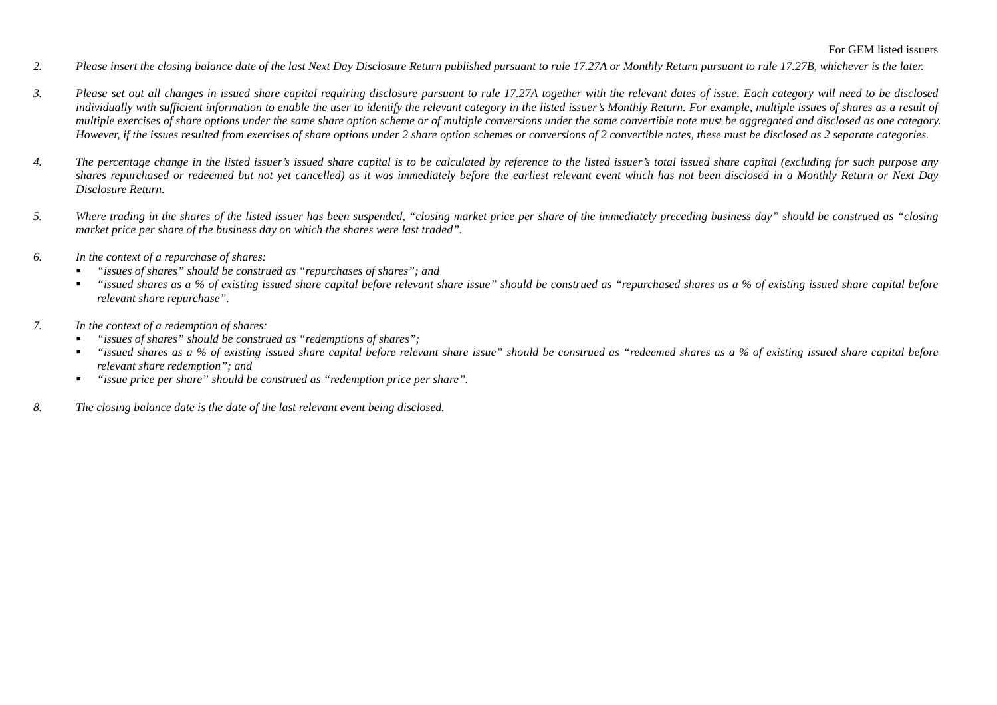- *2. Please insert the closing balance date of the last Next Day Disclosure Return published pursuant to rule 17.27A or Monthly Return pursuant to rule 17.27B, whichever is the later.*
- *3. Please set out all changes in issued share capital requiring disclosure pursuant to rule 17.27A together with the relevant dates of issue. Each category will need to be disclosed individually with sufficient information to enable the user to identify the relevant category in the listed issuer's Monthly Return. For example, multiple issues of shares as a result of multiple exercises of share options under the same share option scheme or of multiple conversions under the same convertible note must be aggregated and disclosed as one category. However, if the issues resulted from exercises of share options under 2 share option schemes or conversions of 2 convertible notes, these must be disclosed as 2 separate categories.*
- *4. The percentage change in the listed issuer's issued share capital is to be calculated by reference to the listed issuer's total issued share capital (excluding for such purpose any shares repurchased or redeemed but not yet cancelled) as it was immediately before the earliest relevant event which has not been disclosed in a Monthly Return or Next Day Disclosure Return.*
- *5. Where trading in the shares of the listed issuer has been suspended, "closing market price per share of the immediately preceding business day" should be construed as "closing market price per share of the business day on which the shares were last traded".*
- *6. In the context of a repurchase of shares:* 
	- *"issues of shares" should be construed as "repurchases of shares"; and*
	- *"issued shares as a % of existing issued share capital before relevant share issue" should be construed as "repurchased shares as a % of existing issued share capital before relevant share repurchase".*
- *7. In the context of a redemption of shares:* 
	- *"issues of shares" should be construed as "redemptions of shares";*
	- $\blacksquare$  *"issued shares as a % of existing issued share capital before relevant share issue" should be construed as "redeemed shares as a % of existing issued share capital before relevant share redemption"; and*
	- *"issue price per share" should be construed as "redemption price per share".*   $\blacksquare$
- *8. The closing balance date is the date of the last relevant event being disclosed.*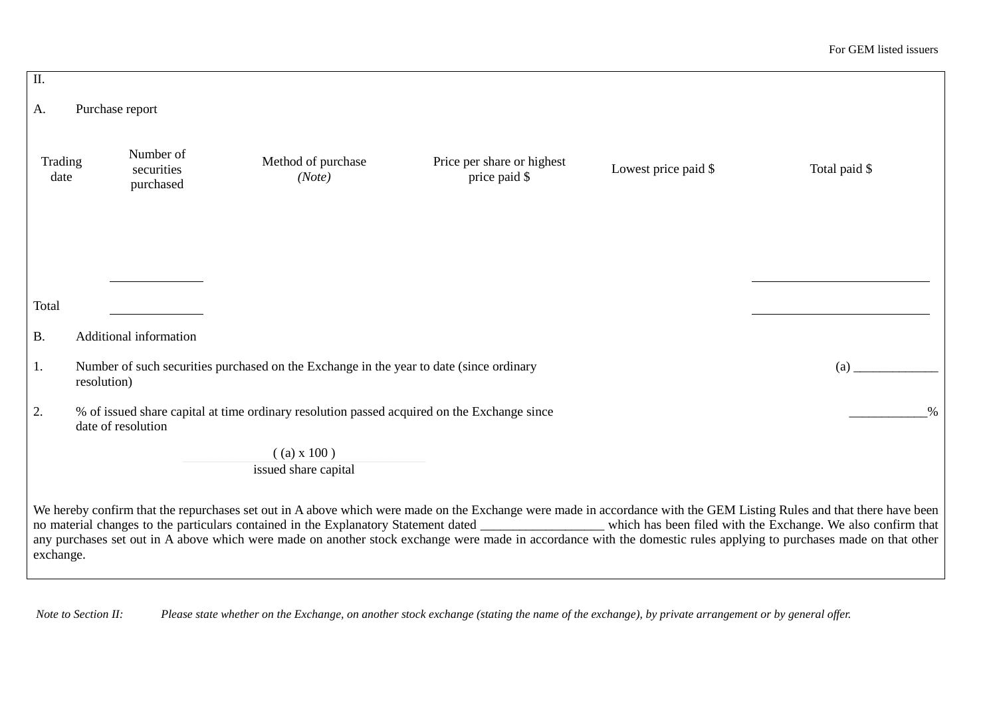| $\overline{\rm II}$ .                                                                                                                                                                                                                                                                                                                                                                                                                                                                                                          |                                                                                                               |                                      |                                                                                             |                                             |                      |               |  |
|--------------------------------------------------------------------------------------------------------------------------------------------------------------------------------------------------------------------------------------------------------------------------------------------------------------------------------------------------------------------------------------------------------------------------------------------------------------------------------------------------------------------------------|---------------------------------------------------------------------------------------------------------------|--------------------------------------|---------------------------------------------------------------------------------------------|---------------------------------------------|----------------------|---------------|--|
| А.                                                                                                                                                                                                                                                                                                                                                                                                                                                                                                                             |                                                                                                               | Purchase report                      |                                                                                             |                                             |                      |               |  |
| Trading<br>date                                                                                                                                                                                                                                                                                                                                                                                                                                                                                                                |                                                                                                               | Number of<br>securities<br>purchased | Method of purchase<br>(Note)                                                                | Price per share or highest<br>price paid \$ | Lowest price paid \$ | Total paid \$ |  |
|                                                                                                                                                                                                                                                                                                                                                                                                                                                                                                                                |                                                                                                               |                                      |                                                                                             |                                             |                      |               |  |
| Total                                                                                                                                                                                                                                                                                                                                                                                                                                                                                                                          |                                                                                                               |                                      |                                                                                             |                                             |                      |               |  |
| <b>B.</b>                                                                                                                                                                                                                                                                                                                                                                                                                                                                                                                      |                                                                                                               | Additional information               |                                                                                             |                                             |                      |               |  |
| 1.                                                                                                                                                                                                                                                                                                                                                                                                                                                                                                                             | Number of such securities purchased on the Exchange in the year to date (since ordinary<br>(a)<br>resolution) |                                      |                                                                                             |                                             |                      |               |  |
| 2.                                                                                                                                                                                                                                                                                                                                                                                                                                                                                                                             |                                                                                                               | date of resolution                   | % of issued share capital at time ordinary resolution passed acquired on the Exchange since |                                             |                      | $\%$          |  |
|                                                                                                                                                                                                                                                                                                                                                                                                                                                                                                                                |                                                                                                               |                                      | $($ (a) x 100)<br>issued share capital                                                      |                                             |                      |               |  |
| We hereby confirm that the repurchases set out in A above which were made on the Exchange were made in accordance with the GEM Listing Rules and that there have been<br>no material changes to the particulars contained in the Explanatory Statement dated ________________ which has been filed with the Exchange. We also confirm that<br>any purchases set out in A above which were made on another stock exchange were made in accordance with the domestic rules applying to purchases made on that other<br>exchange. |                                                                                                               |                                      |                                                                                             |                                             |                      |               |  |

 *Note to Section II: Please state whether on the Exchange, on another stock exchange (stating the name of the exchange), by private arrangement or by general offer.*